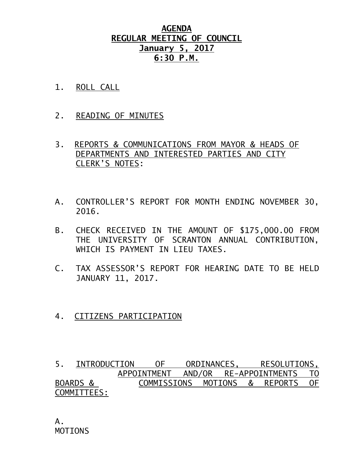# **AGENDA REGULAR MEETING OF COUNCIL January 5, 2017 6:30 P.M.**

- 1. ROLL CALL
- 2. READING OF MINUTES
- 3. REPORTS & COMMUNICATIONS FROM MAYOR & HEADS OF DEPARTMENTS AND INTERESTED PARTIES AND CITY CLERK'S NOTES:
- A. CONTROLLER'S REPORT FOR MONTH ENDING NOVEMBER 30, 2016.
- B. CHECK RECEIVED IN THE AMOUNT OF \$175,000.00 FROM THE UNIVERSITY OF SCRANTON ANNUAL CONTRIBUTION, WHICH IS PAYMENT IN LIEU TAXES.
- C. TAX ASSESSOR'S REPORT FOR HEARING DATE TO BE HELD JANUARY 11, 2017.
- 4. CITIZENS PARTICIPATION

5. INTRODUCTION OF ORDINANCES, RESOLUTIONS, APPOINTMENT AND/OR RE-APPOINTMENTS TO BOARDS & COMMISSIONS MOTIONS & REPORTS OF COMMITTEES: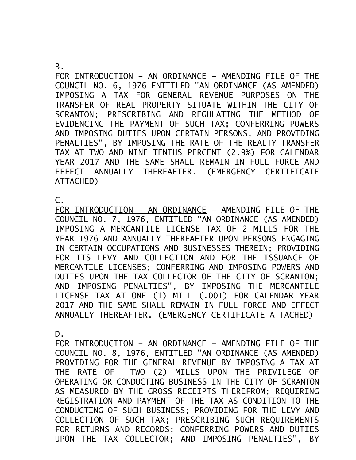#### B.

FOR INTRODUCTION – AN ORDINANCE – AMENDING FILE OF THE COUNCIL NO. 6, 1976 ENTITLED "AN ORDINANCE (AS AMENDED) IMPOSING A TAX FOR GENERAL REVENUE PURPOSES ON THE TRANSFER OF REAL PROPERTY SITUATE WITHIN THE CITY OF SCRANTON; PRESCRIBING AND REGULATING THE METHOD OF EVIDENCING THE PAYMENT OF SUCH TAX; CONFERRING POWERS AND IMPOSING DUTIES UPON CERTAIN PERSONS, AND PROVIDING PENALTIES", BY IMPOSING THE RATE OF THE REALTY TRANSFER TAX AT TWO AND NINE TENTHS PERCENT (2.9%) FOR CALENDAR YEAR 2017 AND THE SAME SHALL REMAIN IN FULL FORCE AND EFFECT ANNUALLY THEREAFTER. (EMERGENCY CERTIFICATE ATTACHED)

### $\mathsf{C}$ .

FOR INTRODUCTION – AN ORDINANCE – AMENDING FILE OF THE COUNCIL NO. 7, 1976, ENTITLED "AN ORDINANCE (AS AMENDED) IMPOSING A MERCANTILE LICENSE TAX OF 2 MILLS FOR THE YEAR 1976 AND ANNUALLY THEREAFTER UPON PERSONS ENGAGING IN CERTAIN OCCUPATIONS AND BUSINESSES THEREIN; PROVIDING FOR ITS LEVY AND COLLECTION AND FOR THE ISSUANCE OF MERCANTILE LICENSES; CONFERRING AND IMPOSING POWERS AND DUTIES UPON THE TAX COLLECTOR OF THE CITY OF SCRANTON; AND IMPOSING PENALTIES", BY IMPOSING THE MERCANTILE LICENSE TAX AT ONE (1) MILL (.001) FOR CALENDAR YEAR 2017 AND THE SAME SHALL REMAIN IN FULL FORCE AND EFFECT ANNUALLY THEREAFTER. (EMERGENCY CERTIFICATE ATTACHED)

### D.

FOR INTRODUCTION – AN ORDINANCE – AMENDING FILE OF THE COUNCIL NO. 8, 1976, ENTITLED "AN ORDINANCE (AS AMENDED) PROVIDING FOR THE GENERAL REVENUE BY IMPOSING A TAX AT THE RATE OF TWO (2) MILLS UPON THE PRIVILEGE OF OPERATING OR CONDUCTING BUSINESS IN THE CITY OF SCRANTON AS MEASURED BY THE GROSS RECEIPTS THEREFROM; REQUIRING REGISTRATION AND PAYMENT OF THE TAX AS CONDITION TO THE CONDUCTING OF SUCH BUSINESS; PROVIDING FOR THE LEVY AND COLLECTION OF SUCH TAX; PRESCRIBING SUCH REQUIREMENTS FOR RETURNS AND RECORDS; CONFERRING POWERS AND DUTIES UPON THE TAX COLLECTOR; AND IMPOSING PENALTIES", BY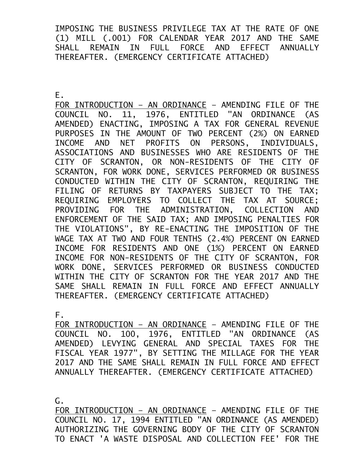IMPOSING THE BUSINESS PRIVILEGE TAX AT THE RATE OF ONE (1) MILL (.001) FOR CALENDAR YEAR 2017 AND THE SAME SHALL REMAIN IN FULL FORCE AND EFFECT ANNUALLY THEREAFTER. (EMERGENCY CERTIFICATE ATTACHED)

E.

FOR INTRODUCTION – AN ORDINANCE – AMENDING FILE OF THE COUNCIL NO. 11, 1976, ENTITLED "AN ORDINANCE (AS AMENDED) ENACTING, IMPOSING A TAX FOR GENERAL REVENUE PURPOSES IN THE AMOUNT OF TWO PERCENT (2%) ON EARNED INCOME AND NET PROFITS ON PERSONS, INDIVIDUALS, ASSOCIATIONS AND BUSINESSES WHO ARE RESIDENTS OF THE CITY OF SCRANTON, OR NON-RESIDENTS OF THE CITY OF SCRANTON, FOR WORK DONE, SERVICES PERFORMED OR BUSINESS CONDUCTED WITHIN THE CITY OF SCRANTON, REQUIRING THE FILING OF RETURNS BY TAXPAYERS SUBJECT TO THE TAX; REQUIRING EMPLOYERS TO COLLECT THE TAX AT SOURCE; PROVIDING FOR THE ADMINISTRATION, COLLECTION AND ENFORCEMENT OF THE SAID TAX; AND IMPOSING PENALTIES FOR THE VIOLATIONS", BY RE-ENACTING THE IMPOSITION OF THE WAGE TAX AT TWO AND FOUR TENTHS (2.4%) PERCENT ON EARNED INCOME FOR RESIDENTS AND ONE (1%) PERCENT ON EARNED INCOME FOR NON-RESIDENTS OF THE CITY OF SCRANTON, FOR WORK DONE, SERVICES PERFORMED OR BUSINESS CONDUCTED WITHIN THE CITY OF SCRANTON FOR THE YEAR 2017 AND THE SAME SHALL REMAIN IN FULL FORCE AND EFFECT ANNUALLY THEREAFTER. (EMERGENCY CERTIFICATE ATTACHED)

F.

FOR INTRODUCTION – AN ORDINANCE – AMENDING FILE OF THE COUNCIL NO. 100, 1976, ENTITLED "AN ORDINANCE (AS AMENDED) LEVYING GENERAL AND SPECIAL TAXES FOR THE FISCAL YEAR 1977", BY SETTING THE MILLAGE FOR THE YEAR 2017 AND THE SAME SHALL REMAIN IN FULL FORCE AND EFFECT ANNUALLY THEREAFTER. (EMERGENCY CERTIFICATE ATTACHED)

G.

FOR INTRODUCTION – AN ORDINANCE – AMENDING FILE OF THE COUNCIL NO. 17, 1994 ENTITLED "AN ORDINANCE (AS AMENDED) AUTHORIZING THE GOVERNING BODY OF THE CITY OF SCRANTON TO ENACT 'A WASTE DISPOSAL AND COLLECTION FEE' FOR THE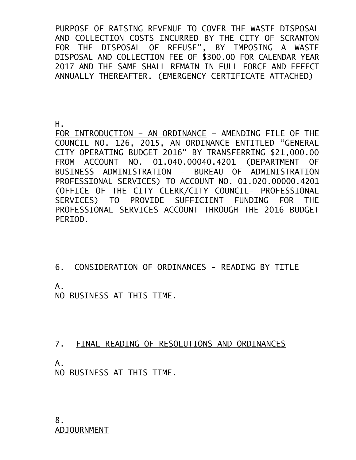PURPOSE OF RAISING REVENUE TO COVER THE WASTE DISPOSAL AND COLLECTION COSTS INCURRED BY THE CITY OF SCRANTON FOR THE DISPOSAL OF REFUSE", BY IMPOSING A WASTE DISPOSAL AND COLLECTION FEE OF \$300.00 FOR CALENDAR YEAR 2017 AND THE SAME SHALL REMAIN IN FULL FORCE AND EFFECT ANNUALLY THEREAFTER. (EMERGENCY CERTIFICATE ATTACHED)

H.

FOR INTRODUCTION – AN ORDINANCE – AMENDING FILE OF THE COUNCIL NO. 126, 2015, AN ORDINANCE ENTITLED "GENERAL CITY OPERATING BUDGET 2016" BY TRANSFERRING \$21,000.00 FROM ACCOUNT NO. 01.040.00040.4201 (DEPARTMENT OF BUSINESS ADMINISTRATION - BUREAU OF ADMINISTRATION PROFESSIONAL SERVICES) TO ACCOUNT NO. 01.020.00000.4201 (OFFICE OF THE CITY CLERK/CITY COUNCIL- PROFESSIONAL SERVICES) TO PROVIDE SUFFICIENT FUNDING FOR THE PROFESSIONAL SERVICES ACCOUNT THROUGH THE 2016 BUDGET PERIOD.

### 6. CONSIDERATION OF ORDINANCES - READING BY TITLE

A.

NO BUSINESS AT THIS TIME.

# 7. FINAL READING OF RESOLUTIONS AND ORDINANCES

A.

NO BUSINESS AT THIS TIME.

8. ADJOURNMENT